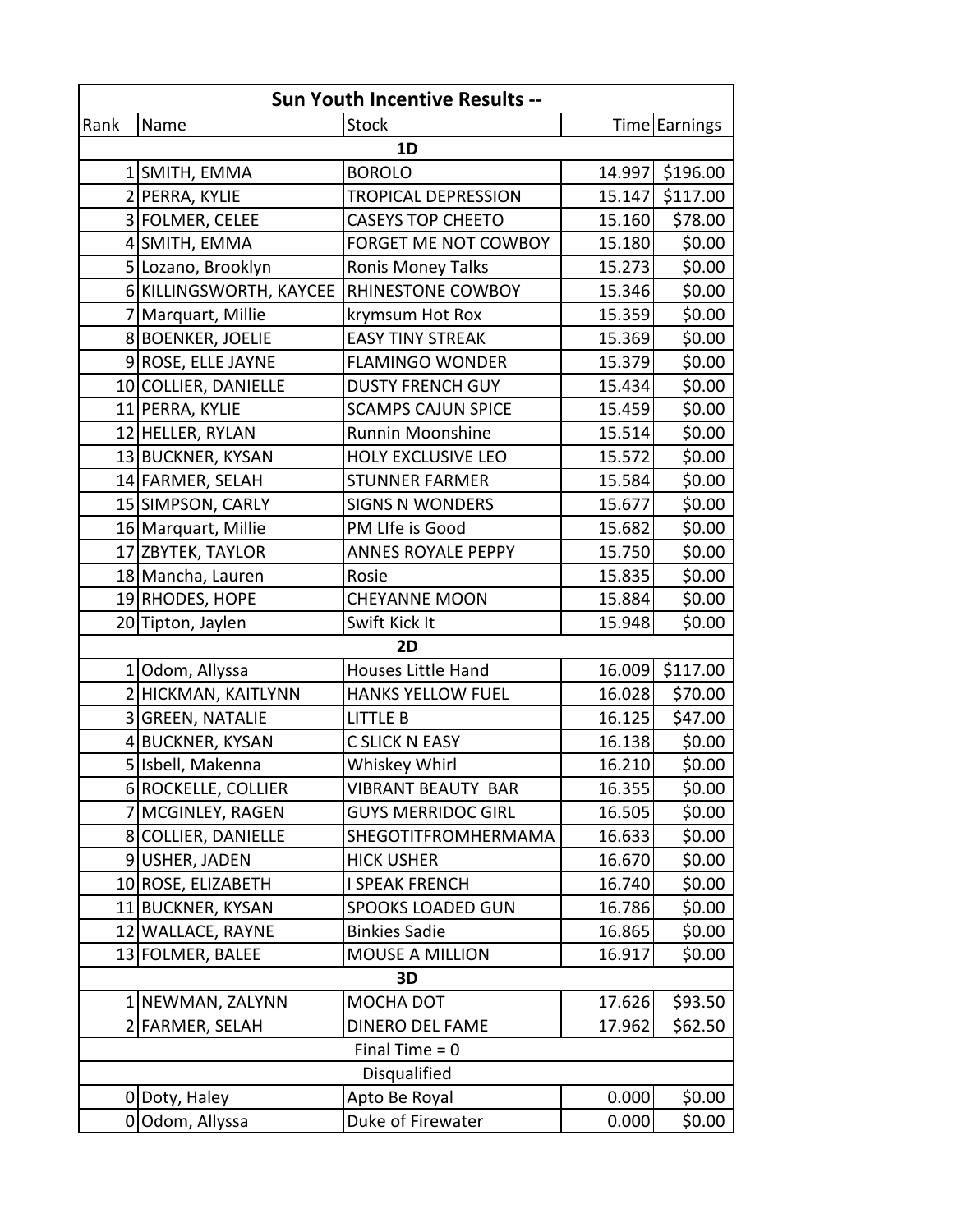| Sun Youth Incentive Results -- |                         |                            |        |               |  |  |
|--------------------------------|-------------------------|----------------------------|--------|---------------|--|--|
| Rank                           | Name                    | <b>Stock</b>               |        | Time Earnings |  |  |
| 1D                             |                         |                            |        |               |  |  |
|                                | 1 SMITH, EMMA           | <b>BOROLO</b>              | 14.997 | \$196.00      |  |  |
|                                | 2 PERRA, KYLIE          | <b>TROPICAL DEPRESSION</b> | 15.147 | \$117.00      |  |  |
|                                | 3 FOLMER, CELEE         | <b>CASEYS TOP CHEETO</b>   | 15.160 | \$78.00       |  |  |
|                                | 4 SMITH, EMMA           | FORGET ME NOT COWBOY       | 15.180 | \$0.00        |  |  |
|                                | 5 Lozano, Brooklyn      | <b>Ronis Money Talks</b>   | 15.273 | \$0.00        |  |  |
|                                | 6 KILLINGSWORTH, KAYCEE | RHINESTONE COWBOY          | 15.346 | \$0.00        |  |  |
|                                | 7 Marquart, Millie      | krymsum Hot Rox            | 15.359 | \$0.00        |  |  |
|                                | 8 BOENKER, JOELIE       | <b>EASY TINY STREAK</b>    | 15.369 | \$0.00        |  |  |
|                                | 9 ROSE, ELLE JAYNE      | <b>FLAMINGO WONDER</b>     | 15.379 | \$0.00        |  |  |
|                                | 10 COLLIER, DANIELLE    | <b>DUSTY FRENCH GUY</b>    | 15.434 | \$0.00        |  |  |
|                                | 11 PERRA, KYLIE         | <b>SCAMPS CAJUN SPICE</b>  | 15.459 | \$0.00        |  |  |
|                                | 12 HELLER, RYLAN        | Runnin Moonshine           | 15.514 | \$0.00        |  |  |
|                                | 13 BUCKNER, KYSAN       | <b>HOLY EXCLUSIVE LEO</b>  | 15.572 | \$0.00        |  |  |
|                                | 14 FARMER, SELAH        | <b>STUNNER FARMER</b>      | 15.584 | \$0.00        |  |  |
|                                | 15 SIMPSON, CARLY       | <b>SIGNS N WONDERS</b>     | 15.677 | \$0.00        |  |  |
|                                | 16 Marquart, Millie     | PM LIfe is Good            | 15.682 | \$0.00        |  |  |
| 17                             | <b>ZBYTEK, TAYLOR</b>   | <b>ANNES ROYALE PEPPY</b>  | 15.750 | \$0.00        |  |  |
|                                | 18 Mancha, Lauren       | Rosie                      | 15.835 | \$0.00        |  |  |
|                                | 19 RHODES, HOPE         | <b>CHEYANNE MOON</b>       | 15.884 | \$0.00        |  |  |
|                                | 20 Tipton, Jaylen       | Swift Kick It              | 15.948 | \$0.00        |  |  |
| 2D                             |                         |                            |        |               |  |  |
|                                | 1 Odom, Allyssa         | Houses Little Hand         | 16.009 | \$117.00      |  |  |
|                                | 2 HICKMAN, KAITLYNN     | <b>HANKS YELLOW FUEL</b>   | 16.028 | \$70.00       |  |  |
|                                | 3 GREEN, NATALIE        | <b>LITTLE B</b>            | 16.125 | \$47.00       |  |  |
|                                | 4 BUCKNER, KYSAN        | <b>C SLICK N EASY</b>      | 16.138 | \$0.00        |  |  |
|                                | 5 Isbell, Makenna       | Whiskey Whirl              | 16.210 | \$0.00        |  |  |
|                                | 6 ROCKELLE, COLLIER     | <b>VIBRANT BEAUTY BAR</b>  | 16.355 | \$0.00        |  |  |
|                                | MCGINLEY, RAGEN         | <b>GUYS MERRIDOC GIRL</b>  | 16.505 | \$0.00        |  |  |
|                                | 8 COLLIER, DANIELLE     | SHEGOTITFROMHERMAMA        | 16.633 | \$0.00        |  |  |
|                                | 9USHER, JADEN           | <b>HICK USHER</b>          | 16.670 | \$0.00        |  |  |
|                                | 10 ROSE, ELIZABETH      | I SPEAK FRENCH             | 16.740 | \$0.00        |  |  |
|                                | 11 BUCKNER, KYSAN       | <b>SPOOKS LOADED GUN</b>   | 16.786 | \$0.00        |  |  |
|                                | 12 WALLACE, RAYNE       | <b>Binkies Sadie</b>       | 16.865 | \$0.00        |  |  |
|                                | 13 FOLMER, BALEE        | <b>MOUSE A MILLION</b>     | 16.917 | \$0.00        |  |  |
| 3D                             |                         |                            |        |               |  |  |
|                                | 1 NEWMAN, ZALYNN        | MOCHA DOT                  | 17.626 | \$93.50       |  |  |
|                                | 2 FARMER, SELAH         | <b>DINERO DEL FAME</b>     | 17.962 | \$62.50       |  |  |
| Final Time $= 0$               |                         |                            |        |               |  |  |
| <b>Disqualified</b>            |                         |                            |        |               |  |  |
|                                | 0 Doty, Haley           | Apto Be Royal              | 0.000  | \$0.00        |  |  |
|                                | 0 Odom, Allyssa         | Duke of Firewater          | 0.000  | \$0.00        |  |  |